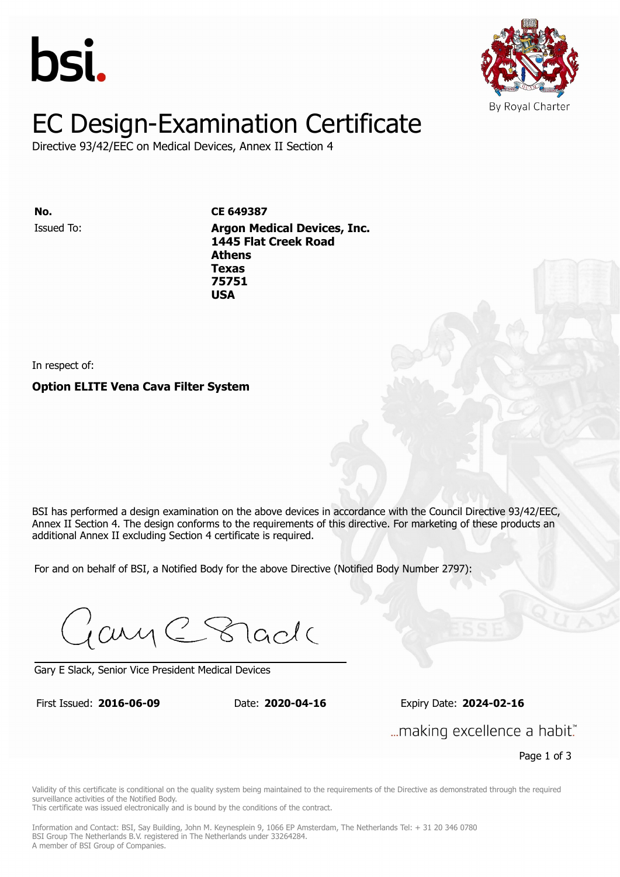



# EC Design-Examination Certificate

Directive 93/42/EEC on Medical Devices, Annex II Section 4

Issued To: **Argon Medical Devices, Inc. No. CE 649387 1645 Flat Creek Road Athens** Issued To: **Argon Medical Devices, Inc. Texas 1445 Flat Creek Road 75751 Athens Texas 75751 USA**

In respect of:

**Option ELITE Vena Cava Filter System**

BSI has performed a design examination on the above devices in accordance with the Council Directive 93/42/EEC. Annex II Section 4. The design conforms to the requirements of this directive. For marketing of these products an additional Annex II excluding Section 4 certificate is required.

For and on behalf of BSI, a Notified Body for the above Directive (Notified Body Number 2797):

Gary C Stade

Gary E Slack, Senior Vice President Medical Devices

First Issued: **2016-06-09** Date: **2020-04-16** Expiry Date: **2024-02-16** First Issued: **2016-06-09** Date: **2020-04-16** Expiry Date: **2024-02-16**

... making excellence a habit."

Page 1 of 3

Validity of this certificate is conditional on the quality system being maintained to the requirements of the Directive as demonstrated through the required surveillance activities of the Notified Body.

This certificate was issued electronically and is bound by the conditions of the contract.

Information and Contact: BSI, Say Building, John M. Keynesplein 9, 1066 EP Amsterdam, The Netherlands Tel: + 31 20 346 0780 BSI Group The Netherlands B.V. registered in The Netherlands under 33264284. A member of BSI Group of Companies.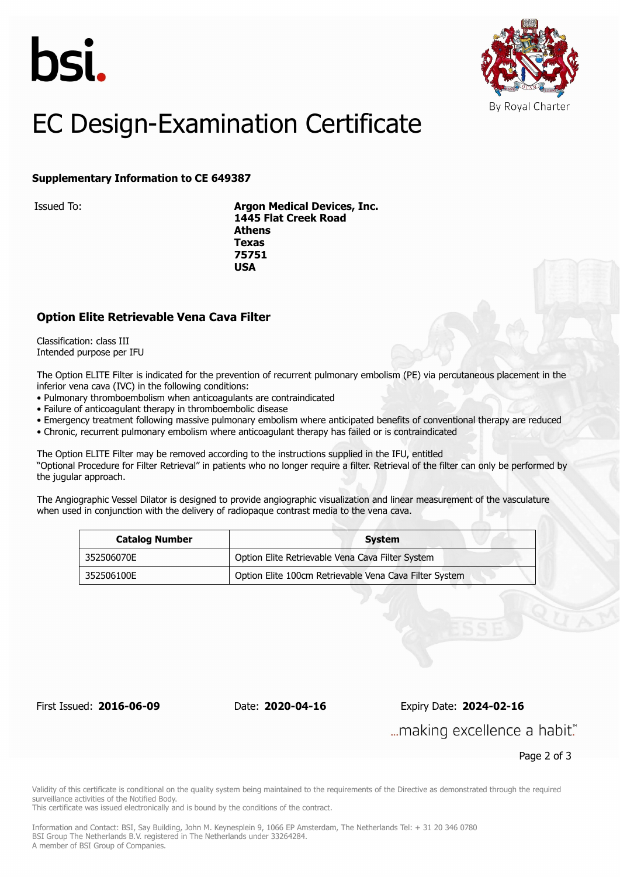



## EC Design-Examination Certificate

#### **Supplementary Information to CE 649387**

Issued To: **Argon Medical Devices, Inc. 1445 Flat Creek Road Athens Texas 75751 USA**

#### **Option Elite Retrievable Vena Cava Filter**

Classification: class III Intended purpose per IFU

The Option ELITE Filter is indicated for the prevention of recurrent pulmonary embolism (PE) via percutaneous placement in the inferior vena cava (IVC) in the following conditions:

- Pulmonary thromboembolism when anticoagulants are contraindicated
- Failure of anticoagulant therapy in thromboembolic disease
- Emergency treatment following massive pulmonary embolism where anticipated benefits of conventional therapy are reduced
- Chronic, recurrent pulmonary embolism where anticoagulant therapy has failed or is contraindicated

The Option ELITE Filter may be removed according to the instructions supplied in the IFU, entitled "Optional Procedure for Filter Retrieval" in patients who no longer require a filter. Retrieval of the filter can only be performed by the jugular approach.

The Angiographic Vessel Dilator is designed to provide angiographic visualization and linear measurement of the vasculature when used in conjunction with the delivery of radiopaque contrast media to the vena cava.

| <b>Catalog Number</b> | System                                                 |
|-----------------------|--------------------------------------------------------|
| 352506070E            | Option Elite Retrievable Vena Cava Filter System       |
| 352506100E            | Option Elite 100cm Retrievable Vena Cava Filter System |

First Issued: **2016-06-09** Date: **2020-04-16** Expiry Date: **2024-02-16**

... making excellence a habit."

Page 2 of 3

Validity of this certificate is conditional on the quality system being maintained to the requirements of the Directive as demonstrated through the required surveillance activities of the Notified Body.

This certificate was issued electronically and is bound by the conditions of the contract.

Information and Contact: BSI, Say Building, John M. Keynesplein 9, 1066 EP Amsterdam, The Netherlands Tel: + 31 20 346 0780 BSI Group The Netherlands B.V. registered in The Netherlands under 33264284. A member of BSI Group of Companies.